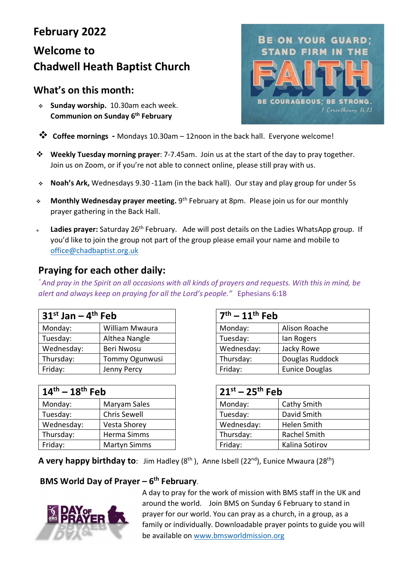# **February 2022 Welcome to Chadwell Heath Baptist Church**

# **What's on this month:**

 **Sunday worship.** 10.30am each week. **Communion on Sunday 6th February**



- **Weekly Tuesday morning prayer**: 7-7.45am. Join us at the start of the day to pray together. Join us on Zoom, or if you're not able to connect online, please still pray with us.
- **Noah's Ark,** Wednesdays 9.30 -11am (in the back hall). Our stay and play group for under 5s
- **Monthly Wednesday prayer meeting.** 9th February at 8pm. Please join us for our monthly prayer gathering in the Back Hall.
- Ladies prayer: Saturday 26<sup>th</sup> February. Ade will post details on the Ladies WhatsApp group. If you'd like to join the group not part of the group please email your name and mobile to office@chadbaptist.org.uk

# **Praying for each other daily:**

*" And pray in the Spirit on all occasions with all kinds of prayers and requests. With this in mind, be alert and always keep on praying for all the Lord's people."* Ephesians 6:18

| $31^{st}$ Jan – 4 <sup>th</sup> Feb |                | $7th - 11th$ Feb |                       |
|-------------------------------------|----------------|------------------|-----------------------|
| Monday:                             | William Mwaura | Monday:          | Alison Roache         |
| Tuesday:                            | Althea Nangle  | Tuesday:         | lan Rogers            |
| Wednesday:                          | Beri Nwosu     | Wednesday:       | Jacky Rowe            |
| Thursday:                           | Tommy Ogunwusi | Thursday:        | Douglas Ruddock       |
| Friday:                             | Jenny Percy    | Friday:          | <b>Eunice Douglas</b> |

| $14^{\text{th}} - 18^{\text{th}}$ Feb |                     | $21^{st} - 25^{th}$ Feb |                     |
|---------------------------------------|---------------------|-------------------------|---------------------|
| Monday:                               | Maryam Sales        | Monday:                 | Cathy Smith         |
| Tuesday:                              | <b>Chris Sewell</b> | Tuesday:                | David Smith         |
| Wednesday:                            | Vesta Shorey        | Wednesday:              | Helen Smith         |
| Thursday:                             | Herma Simms         | Thursday:               | <b>Rachel Smith</b> |
| Friday:                               | <b>Martyn Simms</b> | Friday:                 | Kalina Sotirov      |

| $7th - 11th$ Feb |                       |  |
|------------------|-----------------------|--|
| Monday:          | Alison Roache         |  |
| Tuesday:         | lan Rogers            |  |
| Wednesday:       | Jacky Rowe            |  |
| Thursday:        | Douglas Ruddock       |  |
| Friday:          | <b>Eunice Douglas</b> |  |

| $21^{st} - 25^{th}$ Feb |                     |  |
|-------------------------|---------------------|--|
| Monday:                 | Cathy Smith         |  |
| Tuesday:                | David Smith         |  |
| Wednesday:              | Helen Smith         |  |
| Thursday:               | <b>Rachel Smith</b> |  |
| Friday:                 | Kalina Sotirov      |  |

**A very happy birthday to**: Jim Hadley (8<sup>th</sup>), Anne Isbell (22<sup>nd</sup>), Eunice Mwaura (28<sup>th</sup>)

#### **BMS World Day of Prayer – 6th February**.



A day to pray for the work of mission with BMS staff in the UK and around the world. Join BMS on Sunday 6 February to stand in prayer for our world. You can pray as a church, in a group, as a family or individually. Downloadable prayer points to guide you will be available on www.bmsworldmission.org